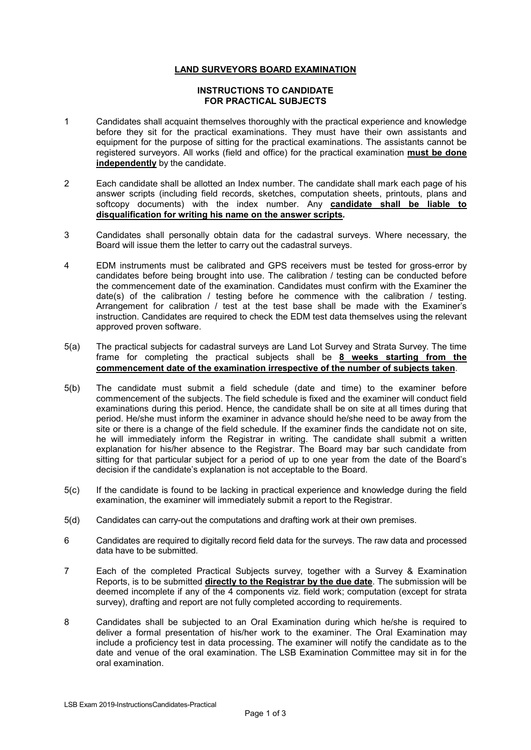## LAND SURVEYORS BOARD EXAMINATION

## INSTRUCTIONS TO CANDIDATE FOR PRACTICAL SUBJECTS

- 1 Candidates shall acquaint themselves thoroughly with the practical experience and knowledge before they sit for the practical examinations. They must have their own assistants and equipment for the purpose of sitting for the practical examinations. The assistants cannot be registered surveyors. All works (field and office) for the practical examination **must be done** independently by the candidate.
- 2 Each candidate shall be allotted an Index number. The candidate shall mark each page of his answer scripts (including field records, sketches, computation sheets, printouts, plans and softcopy documents) with the index number. Any candidate shall be liable to disqualification for writing his name on the answer scripts.
- 3 Candidates shall personally obtain data for the cadastral surveys. Where necessary, the Board will issue them the letter to carry out the cadastral surveys.
- 4 EDM instruments must be calibrated and GPS receivers must be tested for gross-error by candidates before being brought into use. The calibration / testing can be conducted before the commencement date of the examination. Candidates must confirm with the Examiner the date(s) of the calibration / testing before he commence with the calibration / testing. Arrangement for calibration / test at the test base shall be made with the Examiner's instruction. Candidates are required to check the EDM test data themselves using the relevant approved proven software.
- 5(a) The practical subjects for cadastral surveys are Land Lot Survey and Strata Survey. The time frame for completing the practical subjects shall be 8 weeks starting from the commencement date of the examination irrespective of the number of subjects taken.
- 5(b) The candidate must submit a field schedule (date and time) to the examiner before commencement of the subjects. The field schedule is fixed and the examiner will conduct field examinations during this period. Hence, the candidate shall be on site at all times during that period. He/she must inform the examiner in advance should he/she need to be away from the site or there is a change of the field schedule. If the examiner finds the candidate not on site, he will immediately inform the Registrar in writing. The candidate shall submit a written explanation for his/her absence to the Registrar. The Board may bar such candidate from sitting for that particular subject for a period of up to one year from the date of the Board's decision if the candidate's explanation is not acceptable to the Board.
- 5(c) If the candidate is found to be lacking in practical experience and knowledge during the field examination, the examiner will immediately submit a report to the Registrar.
- 5(d) Candidates can carry-out the computations and drafting work at their own premises.
- 6 Candidates are required to digitally record field data for the surveys. The raw data and processed data have to be submitted.
- 7 Each of the completed Practical Subjects survey, together with a Survey & Examination Reports, is to be submitted directly to the Registrar by the due date. The submission will be deemed incomplete if any of the 4 components viz. field work; computation (except for strata survey), drafting and report are not fully completed according to requirements.
- 8 Candidates shall be subjected to an Oral Examination during which he/she is required to deliver a formal presentation of his/her work to the examiner. The Oral Examination may include a proficiency test in data processing. The examiner will notify the candidate as to the date and venue of the oral examination. The LSB Examination Committee may sit in for the oral examination.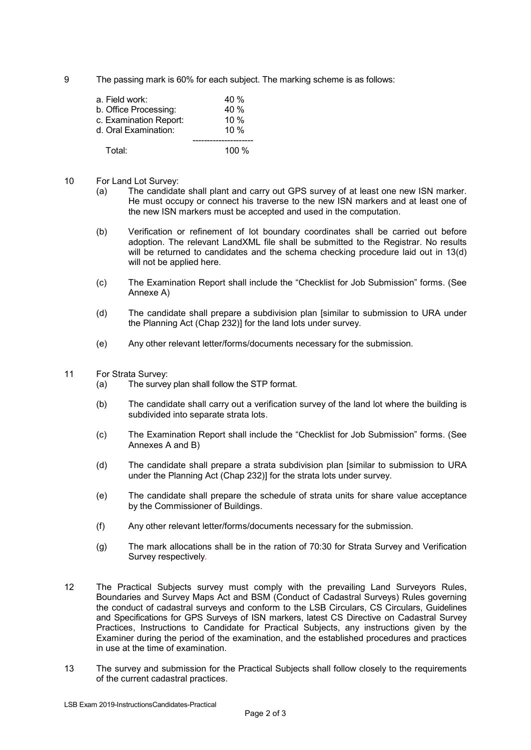9 The passing mark is 60% for each subject. The marking scheme is as follows:

| a. Field work:         | 40 %   |
|------------------------|--------|
| b. Office Processing:  | 40 %   |
| c. Examination Report: | $10\%$ |
| d. Oral Examination:   | $10\%$ |
| Total⊤                 | 100 %  |

- 10 For Land Lot Survey:
	- (a) The candidate shall plant and carry out GPS survey of at least one new ISN marker. He must occupy or connect his traverse to the new ISN markers and at least one of the new ISN markers must be accepted and used in the computation.
	- (b) Verification or refinement of lot boundary coordinates shall be carried out before adoption. The relevant LandXML file shall be submitted to the Registrar. No results will be returned to candidates and the schema checking procedure laid out in 13(d) will not be applied here.
	- (c) The Examination Report shall include the "Checklist for Job Submission" forms. (See Annexe A)
	- (d) The candidate shall prepare a subdivision plan [similar to submission to URA under the Planning Act (Chap 232)] for the land lots under survey.
	- (e) Any other relevant letter/forms/documents necessary for the submission.
- 11 For Strata Survey:
	- (a) The survey plan shall follow the STP format.
	- (b) The candidate shall carry out a verification survey of the land lot where the building is subdivided into separate strata lots.
	- (c) The Examination Report shall include the "Checklist for Job Submission" forms. (See Annexes A and B)
	- (d) The candidate shall prepare a strata subdivision plan [similar to submission to URA under the Planning Act (Chap 232)] for the strata lots under survey.
	- (e) The candidate shall prepare the schedule of strata units for share value acceptance by the Commissioner of Buildings.
	- (f) Any other relevant letter/forms/documents necessary for the submission.
	- (g) The mark allocations shall be in the ration of 70:30 for Strata Survey and Verification Survey respectively.
- 12 The Practical Subjects survey must comply with the prevailing Land Surveyors Rules, Boundaries and Survey Maps Act and BSM (Conduct of Cadastral Surveys) Rules governing the conduct of cadastral surveys and conform to the LSB Circulars, CS Circulars, Guidelines and Specifications for GPS Surveys of ISN markers, latest CS Directive on Cadastral Survey Practices, Instructions to Candidate for Practical Subjects, any instructions given by the Examiner during the period of the examination, and the established procedures and practices in use at the time of examination.
- 13 The survey and submission for the Practical Subjects shall follow closely to the requirements of the current cadastral practices.